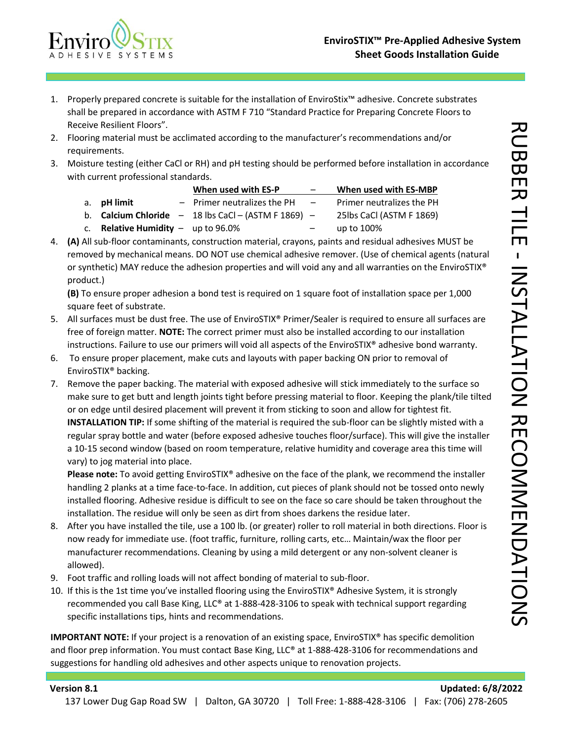

- 1. Properly prepared concrete is suitable for the installation of EnviroStix™ adhesive. Concrete substrates shall be prepared in accordance with ASTM F 710 "Standard Practice for Preparing Concrete Floors to Receive Resilient Floors".
- 2. Flooring material must be acclimated according to the manufacturer's recommendations and/or requirements.
- 3. Moisture testing (either CaCl or RH) and pH testing should be performed before installation in accordance with current professional standards.

|                                             | When used with ES-P                                            | $\overline{\phantom{m}}$ | When used with ES-MBP     |
|---------------------------------------------|----------------------------------------------------------------|--------------------------|---------------------------|
| a. <b>pH</b> limit                          | $-$ Primer neutralizes the PH                                  | $\overline{\phantom{0}}$ | Primer neutralizes the PH |
|                                             | b. <b>Calcium Chloride</b> $- 18$ lbs CaCl $- (ASTM F 1869) -$ |                          | 25lbs CaCl (ASTM F 1869)  |
| c. <b>Relative Humidity</b> $-$ up to 96.0% |                                                                | $\overline{\phantom{m}}$ | up to 100%                |

4. **(A)** All sub-floor contaminants, construction material, crayons, paints and residual adhesives MUST be removed by mechanical means. DO NOT use chemical adhesive remover. (Use of chemical agents (natural or synthetic) MAY reduce the adhesion properties and will void any and all warranties on the EnviroSTIX® product.)

**(B)** To ensure proper adhesion a bond test is required on 1 square foot of installation space per 1,000 square feet of substrate.

- 5. All surfaces must be dust free. The use of EnviroSTIX® Primer/Sealer is required to ensure all surfaces are free of foreign matter. **NOTE:** The correct primer must also be installed according to our installation instructions. Failure to use our primers will void all aspects of the EnviroSTIX® adhesive bond warranty.
- 6. To ensure proper placement, make cuts and layouts with paper backing ON prior to removal of EnviroSTIX® backing.
- 7. Remove the paper backing. The material with exposed adhesive will stick immediately to the surface so make sure to get butt and length joints tight before pressing material to floor. Keeping the plank/tile tilted or on edge until desired placement will prevent it from sticking to soon and allow for tightest fit. **INSTALLATION TIP:** If some shifting of the material is required the sub-floor can be slightly misted with a regular spray bottle and water (before exposed adhesive touches floor/surface). This will give the installer a 10-15 second window (based on room temperature, relative humidity and coverage area this time will vary) to jog material into place.

**Please note:** To avoid getting EnviroSTIX® adhesive on the face of the plank, we recommend the installer handling 2 planks at a time face-to-face. In addition, cut pieces of plank should not be tossed onto newly installed flooring. Adhesive residue is difficult to see on the face so care should be taken throughout the installation. The residue will only be seen as dirt from shoes darkens the residue later.

- 8. After you have installed the tile, use a 100 lb. (or greater) roller to roll material in both directions. Floor is now ready for immediate use. (foot traffic, furniture, rolling carts, etc… Maintain/wax the floor per manufacturer recommendations. Cleaning by using a mild detergent or any non-solvent cleaner is allowed).
- 9. Foot traffic and rolling loads will not affect bonding of material to sub-floor.
- 10. If this is the 1st time you've installed flooring using the EnviroSTIX® Adhesive System, it is strongly recommended you call Base King, LLC® at 1-888-428-3106 to speak with technical support regarding specific installations tips, hints and recommendations.

**IMPORTANT NOTE:** If your project is a renovation of an existing space, EnviroSTIX® has specific demolition and floor prep information. You must contact Base King, LLC® at 1-888-428-3106 for recommendations and suggestions for handling old adhesives and other aspects unique to renovation projects.